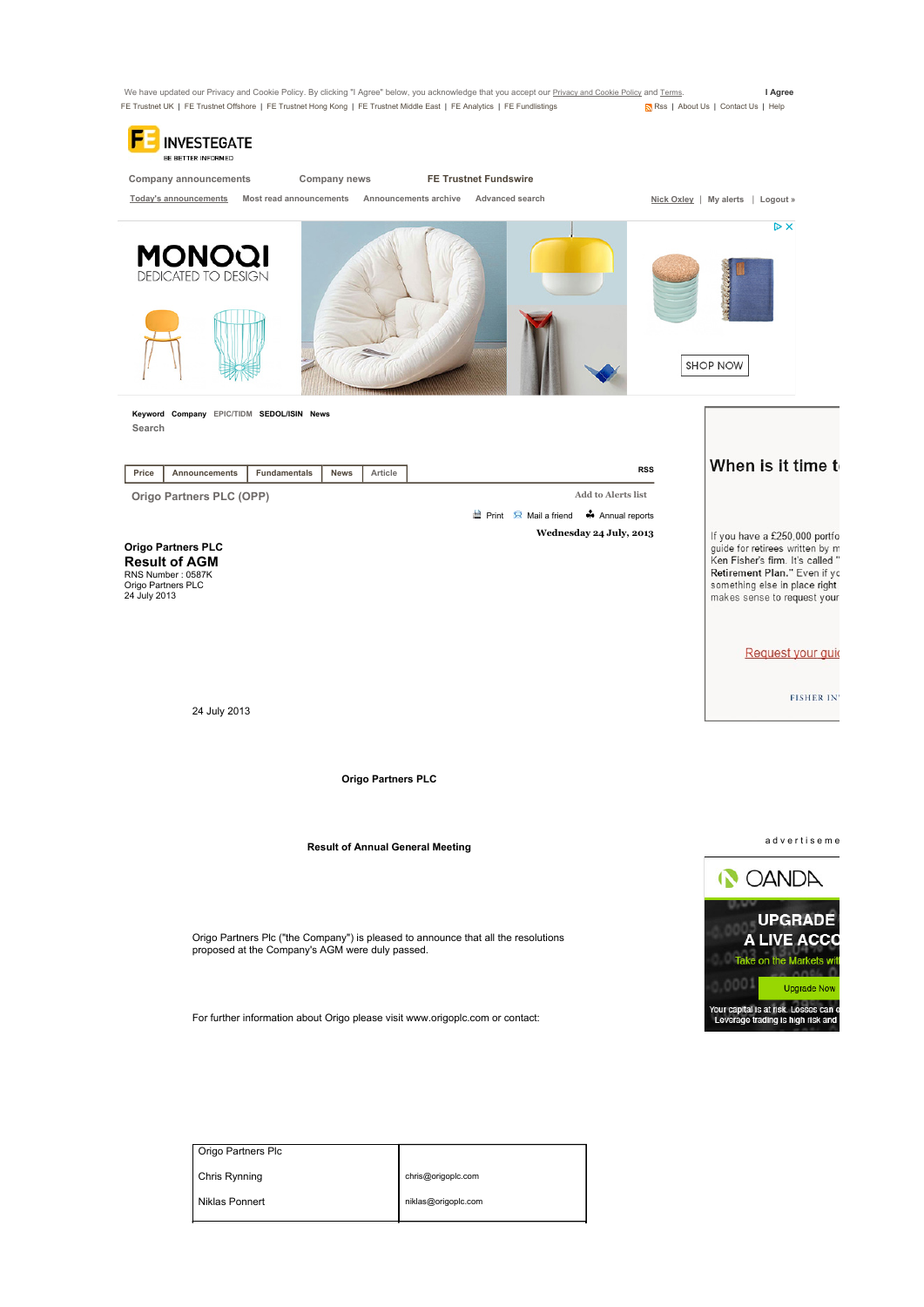

Chris Rynning Niklas Ponnert chris@origoplc.com niklas@origoplc.com